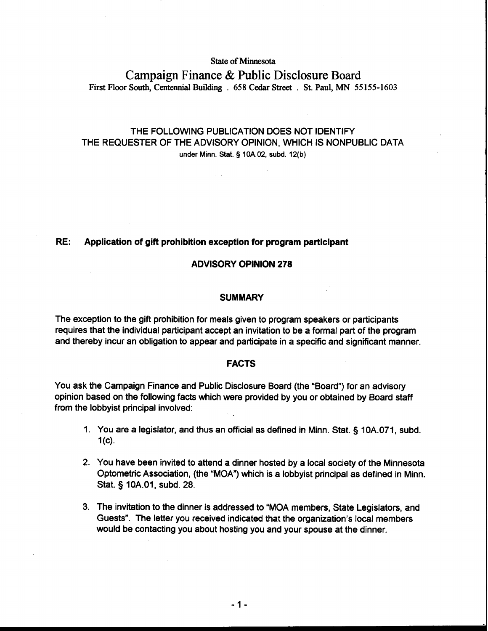## **State of Minnesota**

# **Campaign Finance** & **Public Disclosure Board First Floor South, Centennial Buildmg** . **658 Cedar Street** . **St. Paul, MN 55 155-1603**

# THE FOLLOWING PUBLICATION DOES NOT IDENTIFY THE REQUESTER OF THE ADVISORY OPINION, WHICH IS NONPUBLIC DATA **under Minn.** Stat. **5 10A.02, subd. 12(b)**

# **RE: Application of gift prohibition exception for program participant**

## **ADVISORY OPINION 278**

#### **SUMMARY**

The exception to the gift prohibition for meals given to program speakers or participants requires that the individual participant accept an invitation to be a formal part of the program and thereby incur an obligation to appear and participate in a specific and significant manner.

#### **FACTS**

You ask the Campaign Finance and Public Disclosure Board (the "Board") for an advisory opinion based on the following facts which were provided by you or obtained by Board staff from the lobbyist principal involved:

- 1. You are a legislator, and thus an official as defined in Minn. Stat. § 10A.071, subd.  $1(c)$ .
- 2. You have been invited to attend a dinner hosted by a local society of the Minnesota Optometric Association, (the "MOA") which is a lobbyist principal as defined in Minn. Stat. § 10A.01, subd. 28.
- 3. The invitation to the dinner is addressed to "MOA members, State Legislators, and Guests". The letter you received indicated that the organization's local members would be contacting you about hosting you and your spouse at the dinner.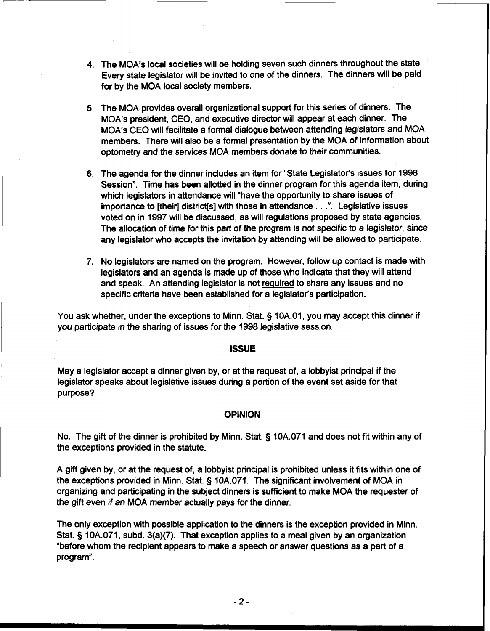- 4. The MOA's local societies will be holding seven such dinners throughout the state. Every state legislator will be invited to one of the dinners. The dinners will be paid for by the MOA local society members.
- 5. The MOA provides overall organizational support for this series of dinners. The MOA's president, CEO, and executive director will appear at each dinner. The MOA's CEO will facilitate a formal dialogue between attending legislators and MOA members. There will also be a formal presentation by the MOA of information about optometry and the services MOA members donate to their communities.
- 6. The agenda for the dinner includes an item for "State Legislator's issues for 1998 Session". Time has been allotted in the dinner program for this agenda item, during which legislators in attendance will "have the opportunity to share issues of importance to [their] district[s] with those in attendance . . .". Legislative issues voted on in 1997 will be discussed, as will regulations proposed by state agencies. The allocation of time for this part of the program is not specific to a legislator, since any legislator who accepts the invitation by attending will be allowed to participate.
- 7. No legislators are named on the program. However, follow up contact is made with legislators and an agenda is made up of those who indicate that they will attend and speak. An attending legislator is not required to share any issues and no specific criteria have been established for a legislator's participation.

You ask whether, under the exceptions to Minn. Stat. § 10A.01, you may accept this dinner if you participate in the sharing of issues for the 1998 legislative session.

## **ISSUE**

May a legislator accept a dinner given by, or at the request of, a lobbyist principal if the legislator speaks about legislative issues during a portion of the event set aside for that purpose?

### **OPINION**

No. The gift of the dinner is prohibited by Minn. Stat. § 10A.071 and does not fit within any of the exceptions provided in the statute.

A gift given by, or at the request of, a lobbyist principal is prohibited unless it fits within one of the exceptions provided in Minn. Stat. § 10A.071. The significant involvement of MOA in organizing and participating in the subject dinners is sufficient to make MOA the requester of the gift even if an MOA member actually pays for the dinner.

The only exception with possible application to the dinners is the exception provided in Minn. Stat. § 10A.071, subd. 3(a)(7). That exception applies to a meal given by an organization "before whom the recipient appears to make a speech or answer questions as a part of a program".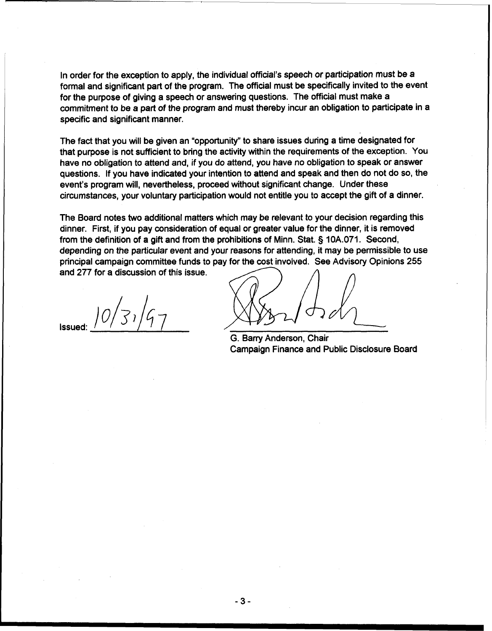In order for the exception to apply, the individual official's speech or participation must be a formal and significant part of the program. The official must be specifically invited to the event for the purpose of giving a speech or answering questions. The official must make a commitment to be a part of the program and must thereby incur an obligation to participate in a specific and significant manner.

The fact that you will be given an "opportunity" to share issues during a time designated for that purpose is not sufficient to bring the activity within the requirements of the exception. You have no obligation to attend and, if you do attend, you have no obligation to speak or answer questions. If you have indicated your intention to attend and speak and then do not do so, the event's program will, nevertheless, proceed without significant change. Under these circumstances, your voluntary participation would not entitle you to accept the gift of a dinner.

The Board notes two additional matters which may be relevant to your decision regarding this dinner. First, if you pay consideration of equal or greater value for the dinner, it is removed from the definition of a gift and from the prohibitions of Minn. Stat. § 10A.071. Second, depending on the particular event and your reasons for attending, it may be permissible to use principal campaign committee funds to pay for the cost involved. See Advisory Opinions 255 and 277 for a discussion of this issue. Irom the definition of a girt and from the prohibitions of Minn. Stat. § 104.071. Second,<br>depending on the particular event and your reasons for attending, it may be permissible to use<br>principal campaign committee funds to

Campaign Finance and Public Disclosure Board